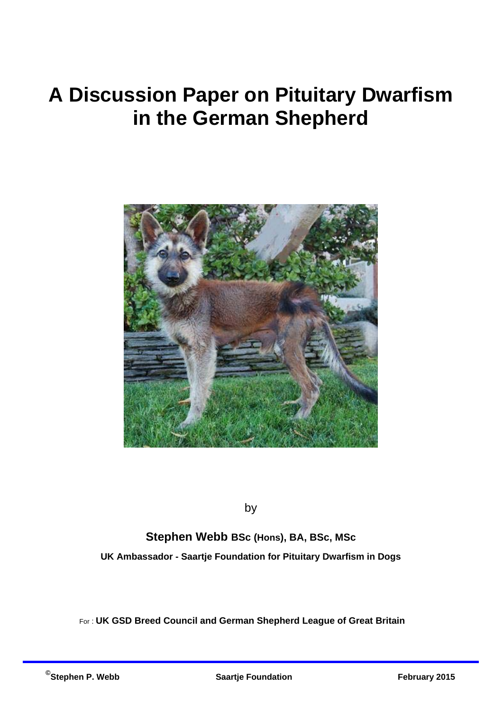# **A Discussion Paper on Pituitary Dwarfism in the German Shepherd**



by

**Stephen Webb BSc (Hons), BA, BSc, MSc UK Ambassador - Saartje Foundation for Pituitary Dwarfism in Dogs** 

For : **UK GSD Breed Council and German Shepherd League of Great Britain**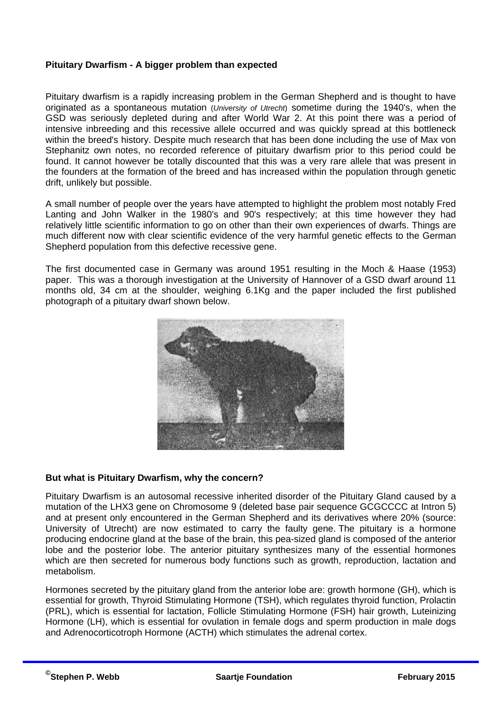#### **Pituitary Dwarfism - A bigger problem than expected**

Pituitary dwarfism is a rapidly increasing problem in the German Shepherd and is thought to have originated as a spontaneous mutation (*University of Utrecht*) sometime during the 1940's, when the GSD was seriously depleted during and after World War 2. At this point there was a period of intensive inbreeding and this recessive allele occurred and was quickly spread at this bottleneck within the breed's history. Despite much research that has been done including the use of Max von Stephanitz own notes, no recorded reference of pituitary dwarfism prior to this period could be found. It cannot however be totally discounted that this was a very rare allele that was present in the founders at the formation of the breed and has increased within the population through genetic drift, unlikely but possible.

A small number of people over the years have attempted to highlight the problem most notably Fred Lanting and John Walker in the 1980's and 90's respectively; at this time however they had relatively little scientific information to go on other than their own experiences of dwarfs. Things are much different now with clear scientific evidence of the very harmful genetic effects to the German Shepherd population from this defective recessive gene.

The first documented case in Germany was around 1951 resulting in the Moch & Haase (1953) paper. This was a thorough investigation at the University of Hannover of a GSD dwarf around 11 months old, 34 cm at the shoulder, weighing 6.1Kg and the paper included the first published photograph of a pituitary dwarf shown below.



### **But what is Pituitary Dwarfism, why the concern?**

Pituitary Dwarfism is an autosomal recessive inherited disorder of the Pituitary Gland caused by a mutation of the LHX3 gene on Chromosome 9 (deleted base pair sequence GCGCCCC at Intron 5) and at present only encountered in the German Shepherd and its derivatives where 20% (source: University of Utrecht) are now estimated to carry the faulty gene. The pituitary is a hormone producing endocrine gland at the base of the brain, this pea-sized gland is composed of the anterior lobe and the posterior lobe. The anterior pituitary synthesizes many of the essential hormones which are then secreted for numerous body functions such as growth, reproduction, lactation and metabolism.

Hormones secreted by the pituitary gland from the anterior lobe are: growth hormone (GH), which is essential for growth, Thyroid Stimulating Hormone (TSH), which regulates thyroid function, Prolactin (PRL), which is essential for lactation, Follicle Stimulating Hormone (FSH) hair growth, Luteinizing Hormone (LH), which is essential for ovulation in female dogs and sperm production in male dogs and Adrenocorticotroph Hormone (ACTH) which stimulates the adrenal cortex.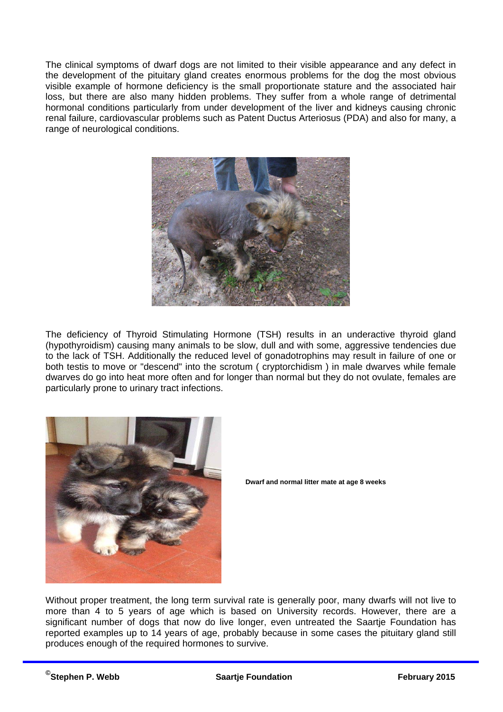The clinical symptoms of dwarf dogs are not limited to their visible appearance and any defect in the development of the pituitary gland creates enormous problems for the dog the most obvious visible example of hormone deficiency is the small proportionate stature and the associated hair loss, but there are also many hidden problems. They suffer from a whole range of detrimental hormonal conditions particularly from under development of the liver and kidneys causing chronic renal failure, cardiovascular problems such as Patent Ductus Arteriosus (PDA) and also for many, a range of neurological conditions.



The deficiency of Thyroid Stimulating Hormone (TSH) results in an underactive thyroid gland (hypothyroidism) causing many animals to be slow, dull and with some, aggressive tendencies due to the lack of TSH. Additionally the reduced level of gonadotrophins may result in failure of one or both testis to move or "descend" into the scrotum ( cryptorchidism ) in male dwarves while female dwarves do go into heat more often and for longer than normal but they do not ovulate, females are particularly prone to urinary tract infections.





Without proper treatment, the long term survival rate is generally poor, many dwarfs will not live to more than 4 to 5 years of age which is based on University records. However, there are a significant number of dogs that now do live longer, even untreated the Saartie Foundation has reported examples up to 14 years of age, probably because in some cases the pituitary gland still produces enough of the required hormones to survive.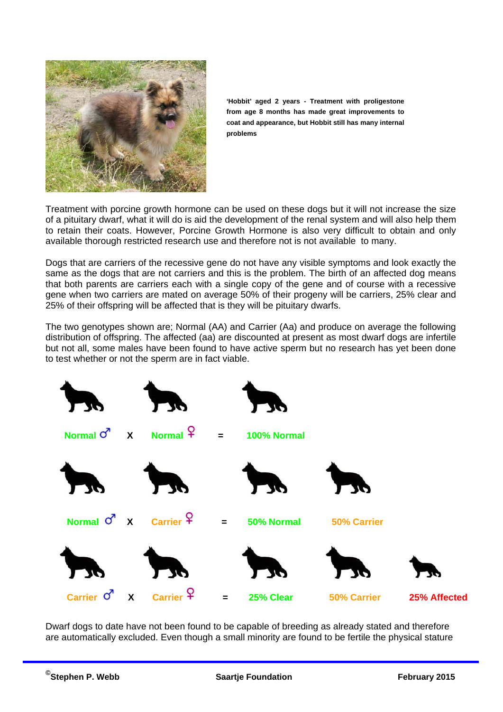

**'Hobbit' aged 2 years - Treatment with proligestone from age 8 months has made great improvements to coat and appearance, but Hobbit still has many internal problems** 

Treatment with porcine growth hormone can be used on these dogs but it will not increase the size of a pituitary dwarf, what it will do is aid the development of the renal system and will also help them to retain their coats. However, Porcine Growth Hormone is also very difficult to obtain and only available thorough restricted research use and therefore not is not available to many.

Dogs that are carriers of the recessive gene do not have any visible symptoms and look exactly the same as the dogs that are not carriers and this is the problem. The birth of an affected dog means that both parents are carriers each with a single copy of the gene and of course with a recessive gene when two carriers are mated on average 50% of their progeny will be carriers, 25% clear and 25% of their offspring will be affected that is they will be pituitary dwarfs.

The two genotypes shown are; Normal (AA) and Carrier (Aa) and produce on average the following distribution of offspring. The affected (aa) are discounted at present as most dwarf dogs are infertile but not all, some males have been found to have active sperm but no research has yet been done to test whether or not the sperm are in fact viable.



Dwarf dogs to date have not been found to be capable of breeding as already stated and therefore are automatically excluded. Even though a small minority are found to be fertile the physical stature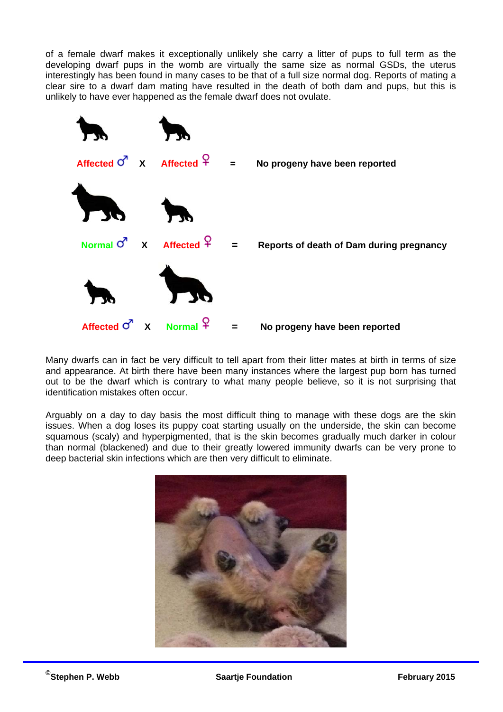of a female dwarf makes it exceptionally unlikely she carry a litter of pups to full term as the developing dwarf pups in the womb are virtually the same size as normal GSDs, the uterus interestingly has been found in many cases to be that of a full size normal dog. Reports of mating a clear sire to a dwarf dam mating have resulted in the death of both dam and pups, but this is unlikely to have ever happened as the female dwarf does not ovulate.

![](_page_4_Figure_1.jpeg)

Many dwarfs can in fact be very difficult to tell apart from their litter mates at birth in terms of size and appearance. At birth there have been many instances where the largest pup born has turned out to be the dwarf which is contrary to what many people believe, so it is not surprising that identification mistakes often occur.

Arguably on a day to day basis the most difficult thing to manage with these dogs are the skin issues. When a dog loses its puppy coat starting usually on the underside, the skin can become squamous (scaly) and hyperpigmented, that is the skin becomes gradually much darker in colour than normal (blackened) and due to their greatly lowered immunity dwarfs can be very prone to deep bacterial skin infections which are then very difficult to eliminate.

![](_page_4_Picture_4.jpeg)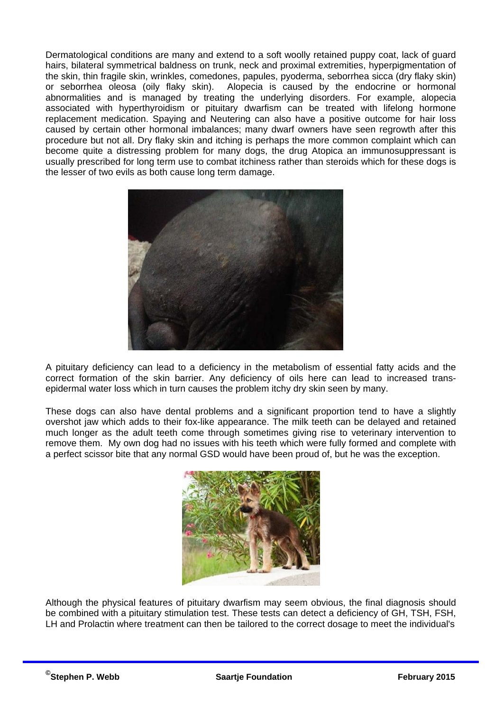Dermatological conditions are many and extend to a soft woolly retained puppy coat, lack of guard hairs, bilateral symmetrical baldness on trunk, neck and proximal extremities, hyperpigmentation of the skin, thin fragile skin, wrinkles, comedones, papules, pyoderma, seborrhea sicca (dry flaky skin) or seborrhea oleosa (oily flaky skin). Alopecia is caused by the endocrine or hormonal abnormalities and is managed by treating the underlying disorders. For example, alopecia associated with hyperthyroidism or pituitary dwarfism can be treated with lifelong hormone replacement medication. Spaying and Neutering can also have a positive outcome for hair loss caused by certain other hormonal imbalances; many dwarf owners have seen regrowth after this procedure but not all. Dry flaky skin and itching is perhaps the more common complaint which can become quite a distressing problem for many dogs, the drug Atopica an immunosuppressant is usually prescribed for long term use to combat itchiness rather than steroids which for these dogs is the lesser of two evils as both cause long term damage.

![](_page_5_Picture_1.jpeg)

A pituitary deficiency can lead to a deficiency in the metabolism of essential fatty acids and the correct formation of the skin barrier. Any deficiency of oils here can lead to increased transepidermal water loss which in turn causes the problem itchy dry skin seen by many.

These dogs can also have dental problems and a significant proportion tend to have a slightly overshot jaw which adds to their fox-like appearance. The milk teeth can be delayed and retained much longer as the adult teeth come through sometimes giving rise to veterinary intervention to remove them. My own dog had no issues with his teeth which were fully formed and complete with a perfect scissor bite that any normal GSD would have been proud of, but he was the exception.

![](_page_5_Picture_4.jpeg)

Although the physical features of pituitary dwarfism may seem obvious, the final diagnosis should be combined with a pituitary stimulation test. These tests can detect a deficiency of GH, TSH, FSH, LH and Prolactin where treatment can then be tailored to the correct dosage to meet the individual's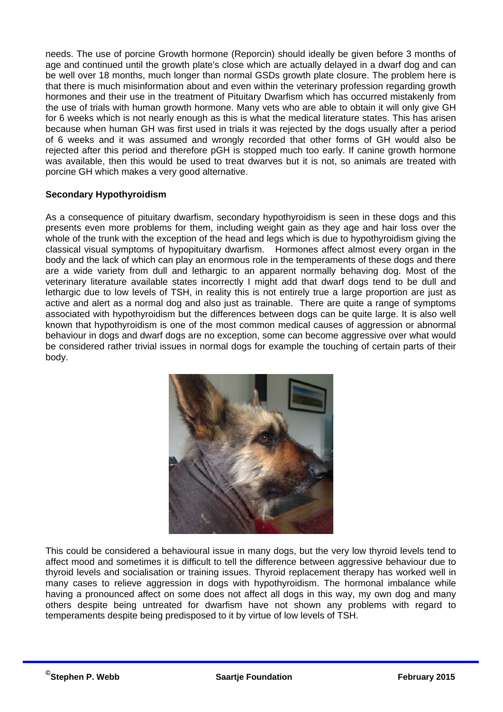needs. The use of porcine Growth hormone (Reporcin) should ideally be given before 3 months of age and continued until the growth plate's close which are actually delayed in a dwarf dog and can be well over 18 months, much longer than normal GSDs growth plate closure. The problem here is that there is much misinformation about and even within the veterinary profession regarding growth hormones and their use in the treatment of Pituitary Dwarfism which has occurred mistakenly from the use of trials with human growth hormone. Many vets who are able to obtain it will only give GH for 6 weeks which is not nearly enough as this is what the medical literature states. This has arisen because when human GH was first used in trials it was rejected by the dogs usually after a period of 6 weeks and it was assumed and wrongly recorded that other forms of GH would also be rejected after this period and therefore pGH is stopped much too early. If canine growth hormone was available, then this would be used to treat dwarves but it is not, so animals are treated with porcine GH which makes a very good alternative.

## **Secondary Hypothyroidism**

As a consequence of pituitary dwarfism, secondary hypothyroidism is seen in these dogs and this presents even more problems for them, including weight gain as they age and hair loss over the whole of the trunk with the exception of the head and legs which is due to hypothyroidism giving the classical visual symptoms of hypopituitary dwarfism. Hormones affect almost every organ in the body and the lack of which can play an enormous role in the temperaments of these dogs and there are a wide variety from dull and lethargic to an apparent normally behaving dog. Most of the veterinary literature available states incorrectly I might add that dwarf dogs tend to be dull and lethargic due to low levels of TSH, in reality this is not entirely true a large proportion are just as active and alert as a normal dog and also just as trainable. There are quite a range of symptoms associated with hypothyroidism but the differences between dogs can be quite large. It is also well known that hypothyroidism is one of the most common medical causes of aggression or abnormal behaviour in dogs and dwarf dogs are no exception, some can become aggressive over what would be considered rather trivial issues in normal dogs for example the touching of certain parts of their body.

![](_page_6_Picture_3.jpeg)

This could be considered a behavioural issue in many dogs, but the very low thyroid levels tend to affect mood and sometimes it is difficult to tell the difference between aggressive behaviour due to thyroid levels and socialisation or training issues. Thyroid replacement therapy has worked well in many cases to relieve aggression in dogs with hypothyroidism. The hormonal imbalance while having a pronounced affect on some does not affect all dogs in this way, my own dog and many others despite being untreated for dwarfism have not shown any problems with regard to temperaments despite being predisposed to it by virtue of low levels of TSH.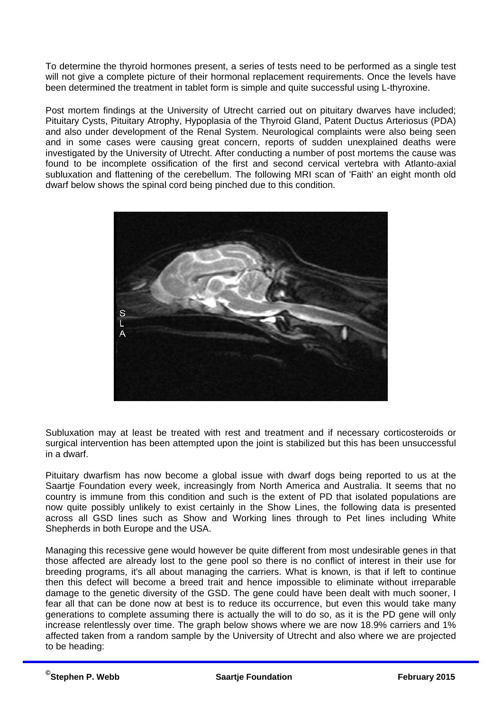To determine the thyroid hormones present, a series of tests need to be performed as a single test will not give a complete picture of their hormonal replacement requirements. Once the levels have been determined the treatment in tablet form is simple and quite successful using L-thyroxine.

Post mortem findings at the University of Utrecht carried out on pituitary dwarves have included; Pituitary Cysts, Pituitary Atrophy, Hypoplasia of the Thyroid Gland, Patent Ductus Arteriosus (PDA) and also under development of the Renal System. Neurological complaints were also being seen and in some cases were causing great concern, reports of sudden unexplained deaths were investigated by the University of Utrecht. After conducting a number of post mortems the cause was found to be incomplete ossification of the first and second cervical vertebra with Atlanto-axial subluxation and flattening of the cerebellum. The following MRI scan of 'Faith' an eight month old dwarf below shows the spinal cord being pinched due to this condition.

![](_page_7_Picture_2.jpeg)

Subluxation may at least be treated with rest and treatment and if necessary corticosteroids or surgical intervention has been attempted upon the joint is stabilized but this has been unsuccessful in a dwarf.

Pituitary dwarfism has now become a global issue with dwarf dogs being reported to us at the Saartje Foundation every week, increasingly from North America and Australia. It seems that no country is immune from this condition and such is the extent of PD that isolated populations are now quite possibly unlikely to exist certainly in the Show Lines, the following data is presented across all GSD lines such as Show and Working lines through to Pet lines including White Shepherds in both Europe and the USA.

Managing this recessive gene would however be quite different from most undesirable genes in that those affected are already lost to the gene pool so there is no conflict of interest in their use for breeding programs, it's all about managing the carriers. What is known, is that if left to continue then this defect will become a breed trait and hence impossible to eliminate without irreparable damage to the genetic diversity of the GSD. The gene could have been dealt with much sooner, I fear all that can be done now at best is to reduce its occurrence, but even this would take many generations to complete assuming there is actually the will to do so, as it is the PD gene will only increase relentlessly over time. The graph below shows where we are now 18.9% carriers and 1% affected taken from a random sample by the University of Utrecht and also where we are projected to be heading: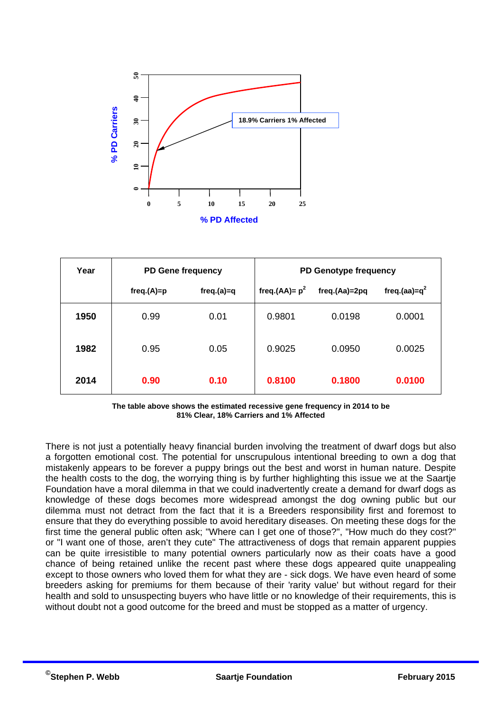![](_page_8_Figure_0.jpeg)

| Year | <b>PD Gene frequency</b> |              | PD Genotype frequency |               |                  |
|------|--------------------------|--------------|-----------------------|---------------|------------------|
|      | $freq.(A)=p$             | $freq.(a)=q$ | freq.(AA)= $p^2$      | freq.(Aa)=2pq | freq.(aa)= $q^2$ |
| 1950 | 0.99                     | 0.01         | 0.9801                | 0.0198        | 0.0001           |
| 1982 | 0.95                     | 0.05         | 0.9025                | 0.0950        | 0.0025           |
| 2014 | 0.90                     | 0.10         | 0.8100                | 0.1800        | 0.0100           |

**The table above shows the estimated recessive gene frequency in 2014 to be 81% Clear, 18% Carriers and 1% Affected**

There is not just a potentially heavy financial burden involving the treatment of dwarf dogs but also a forgotten emotional cost. The potential for unscrupulous intentional breeding to own a dog that mistakenly appears to be forever a puppy brings out the best and worst in human nature. Despite the health costs to the dog, the worrying thing is by further highlighting this issue we at the Saartje Foundation have a moral dilemma in that we could inadvertently create a demand for dwarf dogs as knowledge of these dogs becomes more widespread amongst the dog owning public but our dilemma must not detract from the fact that it is a Breeders responsibility first and foremost to ensure that they do everything possible to avoid hereditary diseases. On meeting these dogs for the first time the general public often ask; "Where can I get one of those?", "How much do they cost?" or "I want one of those, aren't they cute" The attractiveness of dogs that remain apparent puppies can be quite irresistible to many potential owners particularly now as their coats have a good chance of being retained unlike the recent past where these dogs appeared quite unappealing except to those owners who loved them for what they are - sick dogs. We have even heard of some breeders asking for premiums for them because of their 'rarity value' but without regard for their health and sold to unsuspecting buyers who have little or no knowledge of their requirements, this is without doubt not a good outcome for the breed and must be stopped as a matter of urgency. **50 40 30 20 10 0**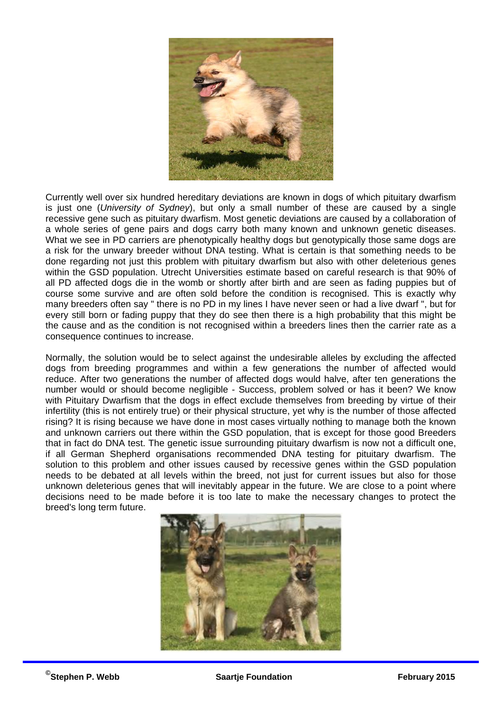![](_page_9_Picture_0.jpeg)

Currently well over six hundred hereditary deviations are known in dogs of which pituitary dwarfism is just one (*University of Sydney*), but only a small number of these are caused by a single recessive gene such as pituitary dwarfism. Most genetic deviations are caused by a collaboration of a whole series of gene pairs and dogs carry both many known and unknown genetic diseases. What we see in PD carriers are phenotypically healthy dogs but genotypically those same dogs are a risk for the unwary breeder without DNA testing. What is certain is that something needs to be done regarding not just this problem with pituitary dwarfism but also with other deleterious genes within the GSD population. Utrecht Universities estimate based on careful research is that 90% of all PD affected dogs die in the womb or shortly after birth and are seen as fading puppies but of course some survive and are often sold before the condition is recognised. This is exactly why many breeders often say " there is no PD in my lines I have never seen or had a live dwarf ", but for every still born or fading puppy that they do see then there is a high probability that this might be the cause and as the condition is not recognised within a breeders lines then the carrier rate as a consequence continues to increase.

Normally, the solution would be to select against the undesirable alleles by excluding the affected dogs from breeding programmes and within a few generations the number of affected would reduce. After two generations the number of affected dogs would halve, after ten generations the number would or should become negligible - Success, problem solved or has it been? We know with Pituitary Dwarfism that the dogs in effect exclude themselves from breeding by virtue of their infertility (this is not entirely true) or their physical structure, yet why is the number of those affected rising? It is rising because we have done in most cases virtually nothing to manage both the known and unknown carriers out there within the GSD population, that is except for those good Breeders that in fact do DNA test. The genetic issue surrounding pituitary dwarfism is now not a difficult one, if all German Shepherd organisations recommended DNA testing for pituitary dwarfism. The solution to this problem and other issues caused by recessive genes within the GSD population needs to be debated at all levels within the breed, not just for current issues but also for those unknown deleterious genes that will inevitably appear in the future. We are close to a point where decisions need to be made before it is too late to make the necessary changes to protect the breed's long term future.

![](_page_9_Picture_3.jpeg)